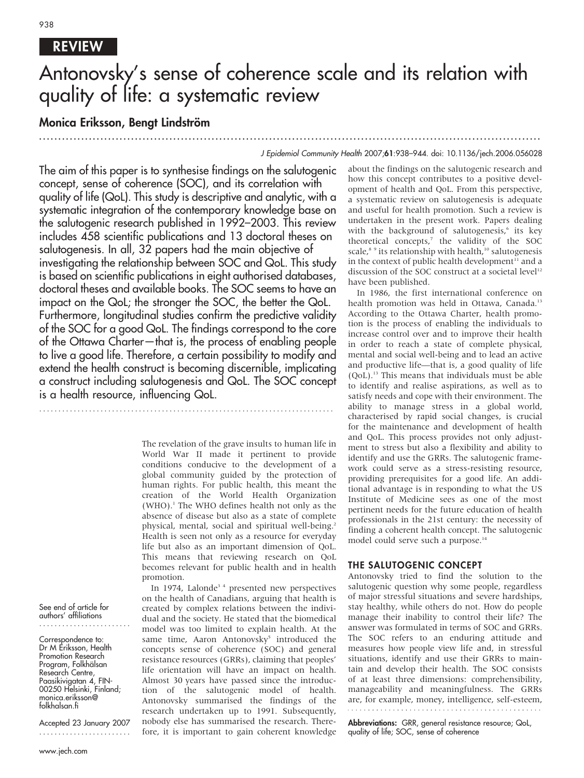# REVIEW

# Antonovsky's sense of coherence scale and its relation with quality of life: a systematic review

............................................................... ............................................................... .....

# Monica Eriksson, Bengt Lindström

............................................................... ..............

#### J Epidemiol Community Health 2007;61:938–944. doi: 10.1136/jech.2006.056028

The aim of this paper is to synthesise findings on the salutogenic concept, sense of coherence (SOC), and its correlation with quality of life (QoL). This study is descriptive and analytic, with a systematic integration of the contemporary knowledge base on the salutogenic research published in 1992–2003. This review includes 458 scientific publications and 13 doctoral theses on salutogenesis. In all, 32 papers had the main objective of investigating the relationship between SOC and QoL. This study is based on scientific publications in eight authorised databases, doctoral theses and available books. The SOC seems to have an impact on the QoL; the stronger the SOC, the better the QoL. Furthermore, longitudinal studies confirm the predictive validity of the SOC for a good QoL. The findings correspond to the core of the Ottawa Charter—that is, the process of enabling people to live a good life. Therefore, a certain possibility to modify and extend the health construct is becoming discernible, implicating a construct including salutogenesis and QoL. The SOC concept is a health resource, influencing QoL.

> The revelation of the grave insults to human life in World War II made it pertinent to provide conditions conducive to the development of a global community guided by the protection of human rights. For public health, this meant the creation of the World Health Organization  $(WHO)$ .<sup>1</sup> The WHO defines health not only as the absence of disease but also as a state of complete physical, mental, social and spiritual well-being.<sup>2</sup> Health is seen not only as a resource for everyday life but also as an important dimension of QoL. This means that reviewing research on QoL becomes relevant for public health and in health promotion.

> In 1974, Lalonde<sup>34</sup> presented new perspectives on the health of Canadians, arguing that health is created by complex relations between the individual and the society. He stated that the biomedical model was too limited to explain health. At the same time, Aaron Antonovsky<sup>5</sup> introduced the concepts sense of coherence (SOC) and general resistance resources (GRRs), claiming that peoples' life orientation will have an impact on health. Almost 30 years have passed since the introduction of the salutogenic model of health. Antonovsky summarised the findings of the research undertaken up to 1991. Subsequently, nobody else has summarised the research. Therefore, it is important to gain coherent knowledge

about the findings on the salutogenic research and how this concept contributes to a positive development of health and QoL. From this perspective, a systematic review on salutogenesis is adequate and useful for health promotion. Such a review is undertaken in the present work. Papers dealing with the background of salutogenesis,<sup>6</sup> its key theoretical concepts,<sup>7</sup> the validity of the SOC scale, $8^9$  its relationship with health,<sup>10</sup> salutogenesis in the context of public health development $11$  and a discussion of the SOC construct at a societal level<sup>12</sup> have been published.

In 1986, the first international conference on health promotion was held in Ottawa, Canada.<sup>13</sup> According to the Ottawa Charter, health promotion is the process of enabling the individuals to increase control over and to improve their health in order to reach a state of complete physical, mental and social well-being and to lead an active and productive life—that is, a good quality of life (QoL).13 This means that individuals must be able to identify and realise aspirations, as well as to satisfy needs and cope with their environment. The ability to manage stress in a global world, characterised by rapid social changes, is crucial for the maintenance and development of health and QoL. This process provides not only adjustment to stress but also a flexibility and ability to identify and use the GRRs. The salutogenic framework could serve as a stress-resisting resource, providing prerequisites for a good life. An additional advantage is in responding to what the US Institute of Medicine sees as one of the most pertinent needs for the future education of health professionals in the 21st century: the necessity of finding a coherent health concept. The salutogenic model could serve such a purpose.<sup>14</sup>

#### THE SALUTOGENIC CONCEPT

Antonovsky tried to find the solution to the salutogenic question why some people, regardless of major stressful situations and severe hardships, stay healthy, while others do not. How do people manage their inability to control their life? The answer was formulated in terms of SOC and GRRs. The SOC refers to an enduring attitude and measures how people view life and, in stressful situations, identify and use their GRRs to maintain and develop their health. The SOC consists of at least three dimensions: comprehensibility, manageability and meaningfulness. The GRRs are, for example, money, intelligence, self-esteem, 

Abbreviations: GRR, general resistance resource; QoL, quality of life; SOC, sense of coherence

#### See end of article for authors' affiliations ........................

Correspondence to: Dr M Eriksson, Health Promotion Research Program, Folkhälsan Research Centre, Paasikivigatan 4, FIN-00250 Helsinki, Finland; monica.eriksson@ folkhalsan.fi

Accepted 23 January 2007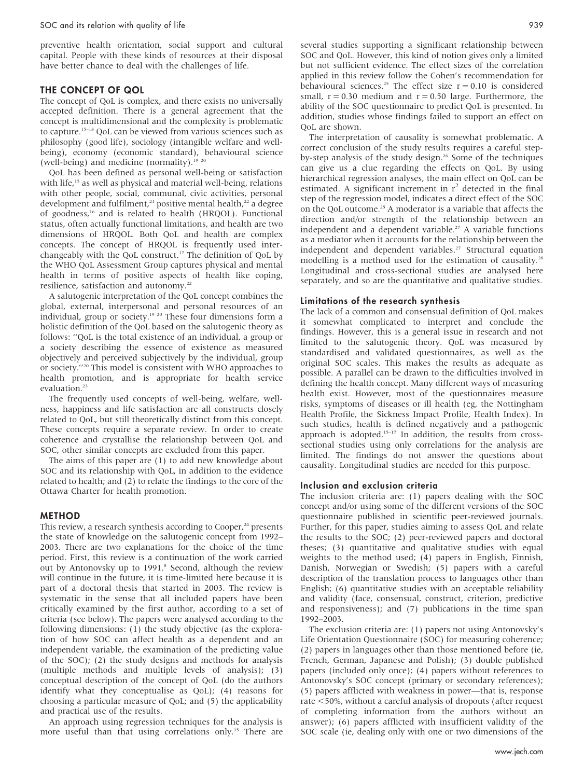preventive health orientation, social support and cultural capital. People with these kinds of resources at their disposal have better chance to deal with the challenges of life.

#### THE CONCEPT OF QOL

The concept of QoL is complex, and there exists no universally accepted definition. There is a general agreement that the concept is multidimensional and the complexity is problematic to capture.15–18 QoL can be viewed from various sciences such as philosophy (good life), sociology (intangible welfare and wellbeing), economy (economic standard), behavioural science (well-being) and medicine (normality).<sup>19 20</sup>

QoL has been defined as personal well-being or satisfaction with life,<sup>15</sup> as well as physical and material well-being, relations with other people, social, communal, civic activities, personal development and fulfilment,<sup>21</sup> positive mental health,<sup>22</sup> a degree of goodness,<sup>16</sup> and is related to health (HRQOL). Functional status, often actually functional limitations, and health are two dimensions of HRQOL. Both QoL and health are complex concepts. The concept of HRQOL is frequently used interchangeably with the QoL construct.17 The definition of QoL by the WHO QoL Assessment Group captures physical and mental health in terms of positive aspects of health like coping, resilience, satisfaction and autonomy.<sup>22</sup>

A salutogenic interpretation of the QoL concept combines the global, external, interpersonal and personal resources of an individual, group or society.<sup>19 20</sup> These four dimensions form a holistic definition of the QoL based on the salutogenic theory as follows: ''QoL is the total existence of an individual, a group or a society describing the essence of existence as measured objectively and perceived subjectively by the individual, group or society.''20 This model is consistent with WHO approaches to health promotion, and is appropriate for health service evaluation.<sup>23</sup>

The frequently used concepts of well-being, welfare, wellness, happiness and life satisfaction are all constructs closely related to QoL, but still theoretically distinct from this concept. These concepts require a separate review. In order to create coherence and crystallise the relationship between QoL and SOC, other similar concepts are excluded from this paper.

The aims of this paper are (1) to add new knowledge about SOC and its relationship with QoL, in addition to the evidence related to health; and (2) to relate the findings to the core of the Ottawa Charter for health promotion.

#### METHOD

This review, a research synthesis according to Cooper, $24$  presents the state of knowledge on the salutogenic concept from 1992– 2003. There are two explanations for the choice of the time period. First, this review is a continuation of the work carried out by Antonovsky up to 1991.<sup>8</sup> Second, although the review will continue in the future, it is time-limited here because it is part of a doctoral thesis that started in 2003. The review is systematic in the sense that all included papers have been critically examined by the first author, according to a set of criteria (see below). The papers were analysed according to the following dimensions: (1) the study objective (as the exploration of how SOC can affect health as a dependent and an independent variable, the examination of the predicting value of the SOC); (2) the study designs and methods for analysis (multiple methods and multiple levels of analysis); (3) conceptual description of the concept of QoL (do the authors identify what they conceptualise as QoL); (4) reasons for choosing a particular measure of QoL; and (5) the applicability and practical use of the results.

An approach using regression techniques for the analysis is more useful than that using correlations only.<sup>15</sup> There are several studies supporting a significant relationship between SOC and QoL. However, this kind of notion gives only a limited but not sufficient evidence. The effect sizes of the correlation applied in this review follow the Cohen's recommendation for behavioural sciences.<sup>25</sup> The effect size  $r = 0.10$  is considered small,  $r = 0.30$  medium and  $r = 0.50$  large. Furthermore, the ability of the SOC questionnaire to predict QoL is presented. In addition, studies whose findings failed to support an effect on QoL are shown.

The interpretation of causality is somewhat problematic. A correct conclusion of the study results requires a careful stepby-step analysis of the study design.26 Some of the techniques can give us a clue regarding the effects on QoL. By using hierarchical regression analyses, the main effect on QoL can be estimated. A significant increment in  $r<sup>2</sup>$  detected in the final step of the regression model, indicates a direct effect of the SOC on the QoL outcome.<sup>25</sup> A moderator is a variable that affects the direction and/or strength of the relationship between an independent and a dependent variable.<sup>27</sup> A variable functions as a mediator when it accounts for the relationship between the independent and dependent variables.<sup>27</sup> Structural equation modelling is a method used for the estimation of causality.<sup>28</sup> Longitudinal and cross-sectional studies are analysed here separately, and so are the quantitative and qualitative studies.

#### Limitations of the research synthesis

The lack of a common and consensual definition of QoL makes it somewhat complicated to interpret and conclude the findings. However, this is a general issue in research and not limited to the salutogenic theory. QoL was measured by standardised and validated questionnaires, as well as the original SOC scales. This makes the results as adequate as possible. A parallel can be drawn to the difficulties involved in defining the health concept. Many different ways of measuring health exist. However, most of the questionnaires measure risks, symptoms of diseases or ill health (eg, the Nottingham Health Profile, the Sickness Impact Profile, Health Index). In such studies, health is defined negatively and a pathogenic approach is adopted. $15-17$  In addition, the results from crosssectional studies using only correlations for the analysis are limited. The findings do not answer the questions about causality. Longitudinal studies are needed for this purpose.

#### Inclusion and exclusion criteria

The inclusion criteria are: (1) papers dealing with the SOC concept and/or using some of the different versions of the SOC questionnaire published in scientific peer-reviewed journals. Further, for this paper, studies aiming to assess QoL and relate the results to the SOC; (2) peer-reviewed papers and doctoral theses; (3) quantitative and qualitative studies with equal weights to the method used; (4) papers in English, Finnish, Danish, Norwegian or Swedish; (5) papers with a careful description of the translation process to languages other than English; (6) quantitative studies with an acceptable reliability and validity (face, consensual, construct, criterion, predictive and responsiveness); and (7) publications in the time span 1992–2003.

The exclusion criteria are: (1) papers not using Antonovsky's Life Orientation Questionnaire (SOC) for measuring coherence; (2) papers in languages other than those mentioned before (ie, French, German, Japanese and Polish); (3) double published papers (included only once); (4) papers without references to Antonovsky's SOC concept (primary or secondary references); (5) papers afflicted with weakness in power—that is, response rate <50%, without a careful analysis of dropouts (after request of completing information from the authors without an answer); (6) papers afflicted with insufficient validity of the SOC scale (ie, dealing only with one or two dimensions of the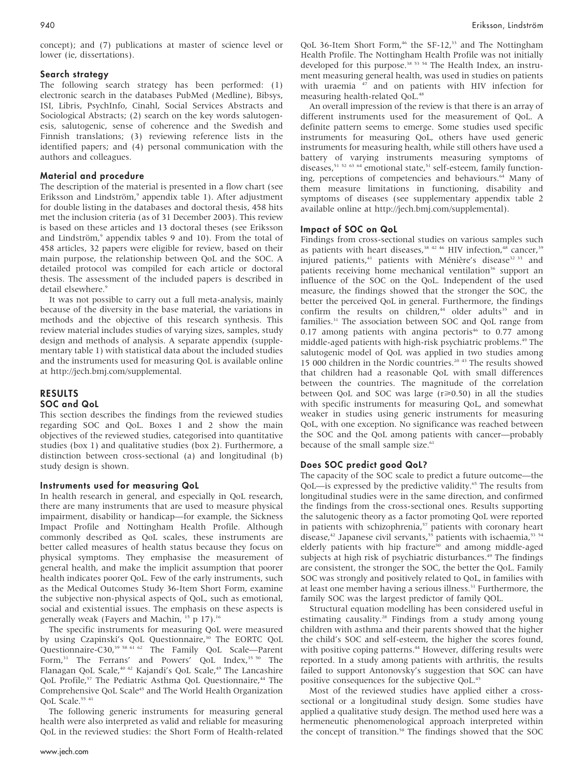concept); and (7) publications at master of science level or lower (ie, dissertations).

#### Search strategy

The following search strategy has been performed: (1) electronic search in the databases PubMed (Medline), Bibsys, ISI, Libris, PsychInfo, Cinahl, Social Services Abstracts and Sociological Abstracts; (2) search on the key words salutogenesis, salutogenic, sense of coherence and the Swedish and Finnish translations; (3) reviewing reference lists in the identified papers; and (4) personal communication with the authors and colleagues.

#### Material and procedure

The description of the material is presented in a flow chart (see Eriksson and Lindström,<sup>9</sup> appendix table 1). After adjustment for double listing in the databases and doctoral thesis, 458 hits met the inclusion criteria (as of 31 December 2003). This review is based on these articles and 13 doctoral theses (see Eriksson and Lindström,<sup>9</sup> appendix tables 9 and 10). From the total of 458 articles, 32 papers were eligible for review, based on their main purpose, the relationship between QoL and the SOC. A detailed protocol was compiled for each article or doctoral thesis. The assessment of the included papers is described in detail elsewhere.<sup>9</sup>

It was not possible to carry out a full meta-analysis, mainly because of the diversity in the base material, the variations in methods and the objective of this research synthesis. This review material includes studies of varying sizes, samples, study design and methods of analysis. A separate appendix (supplementary table 1) with statistical data about the included studies and the instruments used for measuring QoL is available online at http://jech.bmj.com/supplemental.

#### RESULTS SOC and QoL

This section describes the findings from the reviewed studies regarding SOC and QoL. Boxes 1 and 2 show the main objectives of the reviewed studies, categorised into quantitative studies (box 1) and qualitative studies (box 2). Furthermore, a distinction between cross-sectional (a) and longitudinal (b) study design is shown.

#### Instruments used for measuring QoL

In health research in general, and especially in QoL research, there are many instruments that are used to measure physical impairment, disability or handicap—for example, the Sickness Impact Profile and Nottingham Health Profile. Although commonly described as QoL scales, these instruments are better called measures of health status because they focus on physical symptoms. They emphasise the measurement of general health, and make the implicit assumption that poorer health indicates poorer QoL. Few of the early instruments, such as the Medical Outcomes Study 36-Item Short Form, examine the subjective non-physical aspects of QoL, such as emotional, social and existential issues. The emphasis on these aspects is generally weak (Fayers and Machin,  $15$  p 17).<sup>16</sup>

The specific instruments for measuring QoL were measured by using Czapinski's QoL Questionnaire,<sup>30</sup> The EORTC QoL Questionnaire-C30,<sup>39 58 61 62</sup> The Family QoL Scale—Parent Form,<sup>31</sup> The Ferrans' and Powers' QoL Index,<sup>35 50</sup> The Flanagan QoL Scale,<sup>40 42</sup> Kajandi's QoL Scale,<sup>49</sup> The Lancashire QoL Profile,<sup>57</sup> The Pediatric Asthma QoL Questionnaire,<sup>44</sup> The Comprehensive QoL Scale<sup>45</sup> and The World Health Organization QoL Scale.<sup>55 41</sup>

The following generic instruments for measuring general health were also interpreted as valid and reliable for measuring QoL in the reviewed studies: the Short Form of Health-related QoL 36-Item Short Form,<sup>46</sup> the SF-12,<sup>33</sup> and The Nottingham Health Profile. The Nottingham Health Profile was not initially developed for this purpose.<sup>38 53 54</sup> The Health Index, an instrument measuring general health, was used in studies on patients with uraemia <sup>47</sup> and on patients with HIV infection for measuring health-related QoL.<sup>48</sup>

An overall impression of the review is that there is an array of different instruments used for the measurement of QoL. A definite pattern seems to emerge. Some studies used specific instruments for measuring QoL, others have used generic instruments for measuring health, while still others have used a battery of varying instruments measuring symptoms of diseases,<sup>51</sup> <sup>52</sup> <sup>63</sup> <sup>64</sup> emotional state,<sup>51</sup> self-esteem, family functioning, perceptions of competencies and behaviours.<sup>64</sup> Many of them measure limitations in functioning, disability and symptoms of diseases (see supplementary appendix table 2 available online at http://jech.bmj.com/supplemental).

#### Impact of SOC on QoL

Findings from cross-sectional studies on various samples such as patients with heart diseases,<sup>38 42 46</sup> HIV infection,<sup>48</sup> cancer,<sup>39</sup> injured patients,<sup>41</sup> patients with Ménière's disease<sup>32 33</sup> and patients receiving home mechanical ventilation<sup>36</sup> support an influence of the SOC on the QoL. Independent of the used measure, the findings showed that the stronger the SOC, the better the perceived QoL in general. Furthermore, the findings confirm the results on children,<sup>44</sup> older adults<sup>35</sup> and in families.<sup>31</sup> The association between SOC and QoL range from 0.17 among patients with angina pectoris<sup>46</sup> to 0.77 among middle-aged patients with high-risk psychiatric problems.49 The salutogenic model of QoL was applied in two studies among 15 000 children in the Nordic countries.<sup>20 43</sup> The results showed that children had a reasonable QoL with small differences between the countries. The magnitude of the correlation between QoL and SOC was large  $(r \ge 0.50)$  in all the studies with specific instruments for measuring QoL, and somewhat weaker in studies using generic instruments for measuring QoL, with one exception. No significance was reached between the SOC and the QoL among patients with cancer—probably because of the small sample size.<sup>61</sup>

#### Does SOC predict good QoL?

The capacity of the SOC scale to predict a future outcome—the QoL—is expressed by the predictive validity.<sup>65</sup> The results from longitudinal studies were in the same direction, and confirmed the findings from the cross-sectional ones. Results supporting the salutogenic theory as a factor promoting QoL were reported in patients with schizophrenia,<sup>57</sup> patients with coronary heart disease,<sup>42</sup> Japanese civil servants,<sup>55</sup> patients with ischaemia,<sup>53</sup> 54 elderly patients with hip fracture<sup>50</sup> and among middle-aged subjects at high risk of psychiatric disturbances.<sup>49</sup> The findings are consistent, the stronger the SOC, the better the QoL. Family SOC was strongly and positively related to QoL, in families with at least one member having a serious illness.31 Furthermore, the family SOC was the largest predictor of family QOL.

Structural equation modelling has been considered useful in estimating causality.<sup>28</sup> Findings from a study among young children with asthma and their parents showed that the higher the child's SOC and self-esteem, the higher the scores found, with positive coping patterns.<sup>44</sup> However, differing results were reported. In a study among patients with arthritis, the results failed to support Antonovsky's suggestion that SOC can have positive consequences for the subjective QoL.45

Most of the reviewed studies have applied either a crosssectional or a longitudinal study design. Some studies have applied a qualitative study design. The method used here was a hermeneutic phenomenological approach interpreted within the concept of transition.<sup>58</sup> The findings showed that the SOC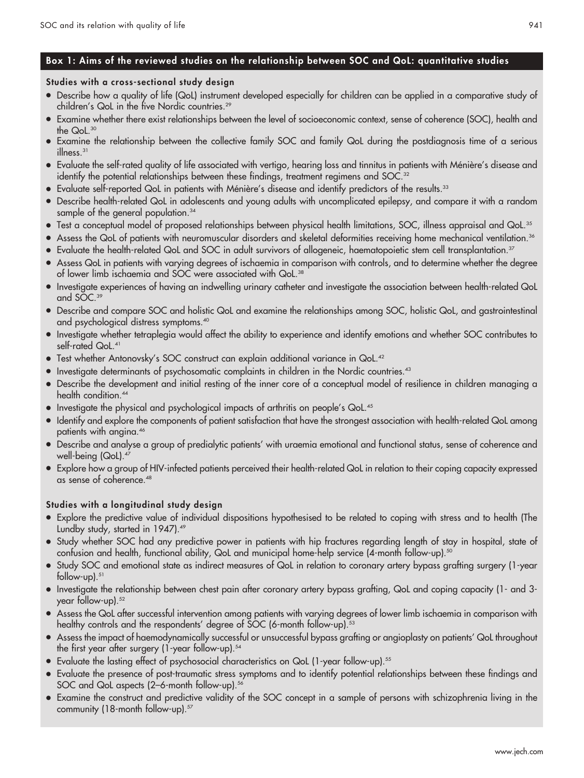# Box 1: Aims of the reviewed studies on the relationship between SOC and QoL: quantitative studies

# Studies with a cross-sectional study design

- N Describe how a quality of life (QoL) instrument developed especially for children can be applied in a comparative study of children's QoL in the five Nordic countries.<sup>29</sup>
- Examine whether there exist relationships between the level of socioeconomic context, sense of coherence (SOC), health and the QoL.30
- N Examine the relationship between the collective family SOC and family QoL during the postdiagnosis time of a serious illness.<sup>31</sup>
- Evaluate the self-rated quality of life associated with vertigo, hearing loss and tinnitus in patients with Ménière's disease and identify the potential relationships between these findings, treatment regimens and SOC.<sup>32</sup>
- $\bullet$  Evaluate self-reported QoL in patients with Ménière's disease and identify predictors of the results.<sup>33</sup>
- N Describe health-related QoL in adolescents and young adults with uncomplicated epilepsy, and compare it with a random sample of the general population.<sup>34</sup>
- $\bullet$  Test a conceptual model of proposed relationships between physical health limitations, SOC, illness appraisal and QoL.<sup>35</sup>
- Assess the QoL of patients with neuromuscular disorders and skeletal deformities receiving home mechanical ventilation.<sup>36</sup>
- Evaluate the health-related QoL and SOC in adult survivors of allogeneic, haematopoietic stem cell transplantation.<sup>37</sup>
- Assess QoL in patients with varying degrees of ischaemia in comparison with controls, and to determine whether the degree of lower limb ischaemia and SOC were associated with QoL.<sup>38</sup>
- N Investigate experiences of having an indwelling urinary catheter and investigate the association between health-related QoL and SOC.39
- N Describe and compare SOC and holistic QoL and examine the relationships among SOC, holistic QoL, and gastrointestinal and psychological distress symptoms.40
- N Investigate whether tetraplegia would affect the ability to experience and identify emotions and whether SOC contributes to self-rated QoL.<sup>41</sup>
- Test whether Antonovsky's SOC construct can explain additional variance in QoL.<sup>42</sup>
- Investigate determinants of psychosomatic complaints in children in the Nordic countries.<sup>43</sup>
- N Describe the development and initial resting of the inner core of a conceptual model of resilience in children managing a health condition.<sup>44</sup>
- Investigate the physical and psychological impacts of arthritis on people's QoL.<sup>45</sup>
- N Identify and explore the components of patient satisfaction that have the strongest association with health-related QoL among patients with angina.<sup>46</sup>
- N Describe and analyse a group of predialytic patients' with uraemia emotional and functional status, sense of coherence and well-being (QoL).<sup>47</sup>
- N Explore how a group of HIV-infected patients perceived their health-related QoL in relation to their coping capacity expressed as sense of coherence.48

# Studies with a longitudinal study design

- Explore the predictive value of individual dispositions hypothesised to be related to coping with stress and to health (The Lundby study, started in 1947).49
- Study whether SOC had any predictive power in patients with hip fractures regarding length of stay in hospital, state of confusion and health, functional ability, QoL and municipal home-help service (4-month follow-up).50
- Study SOC and emotional state as indirect measures of QoL in relation to coronary artery bypass grafting surgery (1-year follow-up.<sup>51</sup>
- N Investigate the relationship between chest pain after coronary artery bypass grafting, QoL and coping capacity (1- and 3 year follow-up).<sup>52</sup>
- N Assess the QoL after successful intervention among patients with varying degrees of lower limb ischaemia in comparison with healthy controls and the respondents' degree of SOC (6-month follow-up).<sup>53</sup>
- N Assess the impact of haemodynamically successful or unsuccessful bypass grafting or angioplasty on patients' QoL throughout the first year after surgery (1-year follow-up).<sup>54</sup>
- Evaluate the lasting effect of psychosocial characteristics on QoL (1-year follow-up).<sup>55</sup>
- Evaluate the presence of post-traumatic stress symptoms and to identify potential relationships between these findings and SOC and QoL aspects (2–6-month follow-up).<sup>56</sup>
- Examine the construct and predictive validity of the SOC concept in a sample of persons with schizophrenia living in the community (18-month follow-up).<sup>57</sup>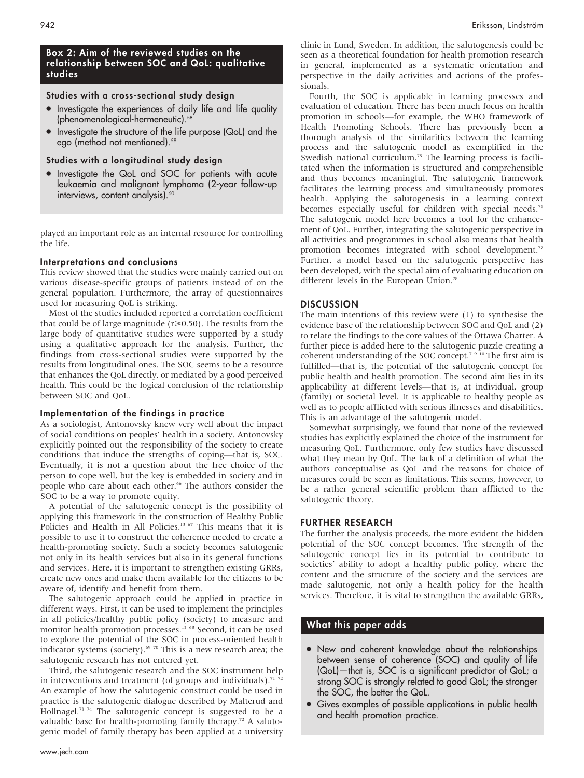## Box 2: Aim of the reviewed studies on the relationship between SOC and QoL: qualitative studies

## Studies with a cross-sectional study design

- Investigate the experiences of daily life and life quality (phenomenological-hermeneutic).<sup>5</sup>
- $\bullet$  Investigate the structure of the life purpose (QoL) and the ego (method not mentioned).<sup>59</sup>

## Studies with a longitudinal study design

• Investigate the QoL and SOC for patients with acute leukaemia and malignant lymphoma (2-year follow-up interviews, content analysis).<sup>60</sup>

played an important role as an internal resource for controlling the life.

#### Interpretations and conclusions

This review showed that the studies were mainly carried out on various disease-specific groups of patients instead of on the general population. Furthermore, the array of questionnaires used for measuring QoL is striking.

Most of the studies included reported a correlation coefficient that could be of large magnitude ( $r \ge 0.50$ ). The results from the large body of quantitative studies were supported by a study using a qualitative approach for the analysis. Further, the findings from cross-sectional studies were supported by the results from longitudinal ones. The SOC seems to be a resource that enhances the QoL directly, or mediated by a good perceived health. This could be the logical conclusion of the relationship between SOC and QoL.

# Implementation of the findings in practice

As a sociologist, Antonovsky knew very well about the impact of social conditions on peoples' health in a society. Antonovsky explicitly pointed out the responsibility of the society to create conditions that induce the strengths of coping—that is, SOC. Eventually, it is not a question about the free choice of the person to cope well, but the key is embedded in society and in people who care about each other.<sup>66</sup> The authors consider the SOC to be a way to promote equity.

A potential of the salutogenic concept is the possibility of applying this framework in the construction of Healthy Public Policies and Health in All Policies.<sup>13 67</sup> This means that it is possible to use it to construct the coherence needed to create a health-promoting society. Such a society becomes salutogenic not only in its health services but also in its general functions and services. Here, it is important to strengthen existing GRRs, create new ones and make them available for the citizens to be aware of, identify and benefit from them.

The salutogenic approach could be applied in practice in different ways. First, it can be used to implement the principles in all policies/healthy public policy (society) to measure and monitor health promotion processes.<sup>13 68</sup> Second, it can be used to explore the potential of the SOC in process-oriented health indicator systems (society).<sup>69 70</sup> This is a new research area; the salutogenic research has not entered yet.

Third, the salutogenic research and the SOC instrument help in interventions and treatment (of groups and individuals).<sup>71 72</sup> An example of how the salutogenic construct could be used in practice is the salutogenic dialogue described by Malterud and Hollnagel.<sup>73</sup> <sup>74</sup> The salutogenic concept is suggested to be a valuable base for health-promoting family therapy.<sup>72</sup> A salutogenic model of family therapy has been applied at a university

clinic in Lund, Sweden. In addition, the salutogenesis could be seen as a theoretical foundation for health promotion research in general, implemented as a systematic orientation and perspective in the daily activities and actions of the professionals.

Fourth, the SOC is applicable in learning processes and evaluation of education. There has been much focus on health promotion in schools—for example, the WHO framework of Health Promoting Schools. There has previously been a thorough analysis of the similarities between the learning process and the salutogenic model as exemplified in the Swedish national curriculum.<sup>75</sup> The learning process is facilitated when the information is structured and comprehensible and thus becomes meaningful. The salutogenic framework facilitates the learning process and simultaneously promotes health. Applying the salutogenesis in a learning context becomes especially useful for children with special needs.<sup>76</sup> The salutogenic model here becomes a tool for the enhancement of QoL. Further, integrating the salutogenic perspective in all activities and programmes in school also means that health promotion becomes integrated with school development.<sup>77</sup> Further, a model based on the salutogenic perspective has been developed, with the special aim of evaluating education on different levels in the European Union.<sup>78</sup>

## **DISCUSSION**

The main intentions of this review were (1) to synthesise the evidence base of the relationship between SOC and QoL and (2) to relate the findings to the core values of the Ottawa Charter. A further piece is added here to the salutogenic puzzle creating a coherent understanding of the SOC concept.<sup>79 10</sup> The first aim is fulfilled—that is, the potential of the salutogenic concept for public health and health promotion. The second aim lies in its applicability at different levels—that is, at individual, group (family) or societal level. It is applicable to healthy people as well as to people afflicted with serious illnesses and disabilities. This is an advantage of the salutogenic model.

Somewhat surprisingly, we found that none of the reviewed studies has explicitly explained the choice of the instrument for measuring QoL. Furthermore, only few studies have discussed what they mean by QoL. The lack of a definition of what the authors conceptualise as QoL and the reasons for choice of measures could be seen as limitations. This seems, however, to be a rather general scientific problem than afflicted to the salutogenic theory.

#### FURTHER RESEARCH

The further the analysis proceeds, the more evident the hidden potential of the SOC concept becomes. The strength of the salutogenic concept lies in its potential to contribute to societies' ability to adopt a healthy public policy, where the content and the structure of the society and the services are made salutogenic, not only a health policy for the health services. Therefore, it is vital to strengthen the available GRRs,

# What this paper adds

- New and coherent knowledge about the relationships between sense of coherence (SOC) and quality of life (QoL)—that is, SOC is a significant predictor of QoL; a strong SOC is strongly related to good QoL; the stronger the SOC, the better the QoL.
- Gives examples of possible applications in public health and health promotion practice.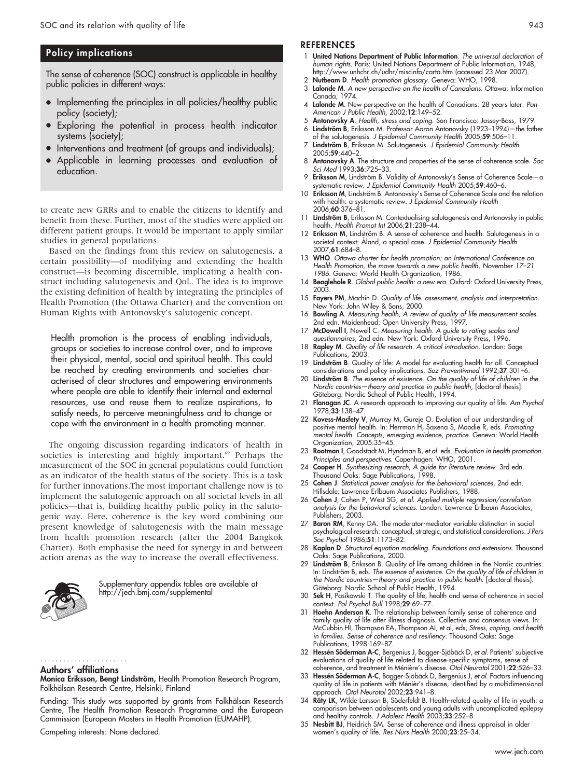# Policy implications

The sense of coherence (SOC) construct is applicable in healthy public policies in different ways:

- Implementing the principles in all policies/healthy public policy (society);
- Exploring the potential in process health indicator systems (society);
- Interventions and treatment (of groups and individuals);
- Applicable in learning processes and evaluation of education.

to create new GRRs and to enable the citizens to identify and benefit from these. Further, most of the studies were applied on different patient groups. It would be important to apply similar studies in general populations.

Based on the findings from this review on salutogenesis, a certain possibility—of modifying and extending the health construct—is becoming discernible, implicating a health construct including salutogenesis and QoL. The idea is to improve the existing definition of health by integrating the principles of Health Promotion (the Ottawa Charter) and the convention on Human Rights with Antonovsky's salutogenic concept.

Health promotion is the process of enabling individuals, groups or societies to increase control over, and to improve their physical, mental, social and spiritual health. This could be reached by creating environments and societies characterised of clear structures and empowering environments where people are able to identify their internal and external resources, use and reuse them to realize aspirations, to satisfy needs, to perceive meaningfulness and to change or cope with the environment in a health promoting manner.

The ongoing discussion regarding indicators of health in societies is interesting and highly important.<sup>69</sup> Perhaps the measurement of the SOC in general populations could function as an indicator of the health status of the society. This is a task for further innovations.The most important challenge now is to implement the salutogenic approach on all societal levels in all policies—that is, building healthy public policy in the salutogenic way. Here, coherence is the key word combining our present knowledge of salutogenesis with the main message from health promotion research (after the 2004 Bangkok Charter). Both emphasise the need for synergy in and between action arenas as the way to increase the overall effectiveness.



Supplementary appendix tables are available at http://jech.bmj.com/supplemental

Authors' affiliations .......................

Monica Eriksson, Bengt Lindström, Health Promotion Research Program, Folkhälsan Research Centre, Helsinki, Finland

Funding: This study was supported by grants from Folkhälsan Research Centre, The Health Promotion Research Programme and the European Commission (European Masters in Health Promotion (EUMAHP).

Competing interests: None declared.

#### **REFERENCES**

- 1 United Nations Department of Public Information. The universal declaration of human rights. Paris: United Nations Department of Public Information, 1948, http://www.unhchr.ch/udhr/miscinfo/carta.htm (accessed 23 Mar 2007).
- 2 Nutbeam D. Health promotion glossary. Geneva: WHO, 1998.
- Lalonde M. A new perspective on the health of Canadians. Ottawa: Information Canada, 1974.
- 4 Lalonde M. New perspective on the health of Canadians: 28 years later. Pan American J Public Health, 2002;12:149–52.
- 5 Antonovsky A. Health, stress and coping. San Francisco: Jossey-Bass, 1979. 6 Lindström B, Eriksson M. Professor Aaron Antonovsky (1923–1994)—the father
- of the salutogenesis. J Epidemiol Community Health 2005;59:506-11
- 7 Lindström B, Eriksson M. Salutogenesis. J Epidemiol Community Health 2005;59:440–2.
- 8 Antonovsky A. The structure and properties of the sense of coherence scale. Soc Sci Med 1993;36:725-33.
- 9 Eriksson M, Lindström B. Validity of Antonovsky's Sense of Coherence Scale-a systematic review. J Epidemiol Community Health 2005;**59**:460–6.
- 10 Eriksson M, Lindström B. Antonovsky's Sense of Coherence Scale and the relation with health: a systematic review. J Epidemiol Community Health 2006;60:376–81.
- 11 Lindström B, Eriksson M. Contextualising salutogenesis and Antonovsky in public health. Health Promot Int 2006;21:238–44.
- 12 Eriksson M, Lindström B. A sense of coherence and health. Salutogenesis in a societal context: Åland, a special case. J Epidemiol Community Health 2007;61:684–8.
- 13 WHO. Ottawa charter for health promotion: an International Conference on Health Promotion, the move towards a new public health, November 17–21 1986. Geneva: World Health Organization, 1986.
- 14 Beaglehole R. Global public health: a new era. Oxford: Oxford University Press, 2003.
- 15 Fayers PM, Machin D. Quality of life. assessment, analysis and interpretation. New York: John Wiley & Sons, 2000.
- 16 Bowling A. Measuring health, A review of quality of life measurement scales. 2nd edn. Maidenhead: Open University Press, 1997.
- 17 **McDowell I**, Newell C. Measuring health. A guide to rating scales and questionnaires, 2nd edn. New York: Oxford University Press, 1996.
- 18 Rapley M. Quality of life research. A critical introduction. London: Sage Publications, 2003.
- 19 Lindström B. Quality of life: A model for evaluating health for all. Conceptual considerations and policy implications. Soz Praventivmed 1992;37:301-6
- 20 Lindström B. The essence of existence. On the quality of life of children in the Nordic countries—theory and practice in public health, [doctoral thesis]. Göteborg: Nordic School of Public Health, 1994.
- 21 Flanagan JC. A research approach to improving our quality of life. Am Psychol 1978;33:138–47.
- 22 Kovess-Masfety V, Murray M, Gureje O. Evolution of our understanding of positive mental health. In: Herrman H, Saxena S, Moodie R, eds. Promoting mental health. Concepts, emerging evidence, practice. Geneva: World Health Organization, 2005:35–45.
- 23 Rootman I, Goodstadt M, Hyndman B, et al. eds. Evaluation in health promotion. Principles and perspectives. Copenhagen: WHO, 2001.
- 24 Cooper H. Synthesizing research, A guide for literature review. 3rd edn. Thousand Oaks: Sage Publications, 1998.
- 25 Cohen J. Statistical power analysis for the behavioral sciences, 2nd edn. Hillsdale: Lawrence Erlbaum Associates Publishers, 1988.
- 26 Cohen J, Cohen P, West SG, et al. Applied multiple regression/correlation analysis for the behavioral sciences. London: Lawrence Erlbaum Associates, Publishers, 2003.
- 27 Baron RM, Kenny DA. The moderator-mediator variable distinction in social psychological research: conceptual, strategic, and statistical considerations. J Pers Soc Psychol 1986;51:1173–82.
- 28 Kaplan D. Structural equation modeling. Foundations and extensions. Thousand Oaks: Sage Publications, 2000.
- 29 Lindström B, Eriksson B. Quality of life among children in the Nordic countries. In: Lindström B, eds. The essence of existence. On the quality of life of children in the Nordic countries—theory and practice in public health. [doctoral thesis]. Göteborg: Nordic School of Public Health, 1994.
- 30 Sek H, Pasikowski T. The quality of life, health and sense of coherence in social context. Pol Psychol Bull 1998;29:69–77.
- 31 Hoehn Anderson K. The relationship between family sense of coherence and family quality of life after illness diagnosis. Collective and consensus views. In: McCubbin HI, Thompson EA, Thompson AI, et al, eds, Stress, coping, and health in families. Sense of coherence and resiliency. Thousand Oaks: Sage Publications, 1998:169–87.
- 32 Hessén Söderman A-C, Bergenius J, Bagger-Sjöbäck D, et al. Patients' subjective evaluations of quality of life related to disease-specific symptoms, sense of coherence, and treatment in Ménière's disease. Otol Neurotol 2001;22:526-33.
- 33 Hessén Söderman A-C, Bagger-Sjöbäck D, Bergenius J, et al. Factors influencing quality of life in patients with Ménièr's disease, identified by a multidimensional approach. Otol Neurotol 2002;23:941-8.
- 34 **Räty LK**, Wilde Larsson B, Söderteldt B. Health-related quality ot lite in youth: a comparison between adolescents and young adults with uncomplicated epilepsy and healthy controls. J Adolesc Health 2003;33:252–8.
- 35 Nesbitt BJ, Heidrich SM. Sense of coherence and illness appraisal in older women's quality of life. Res Nurs Health 2000;23:25–34.